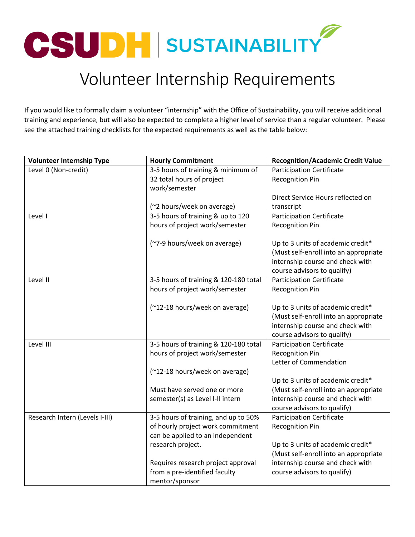

## Volunteer Internship Requirements

If you would like to formally claim a volunteer "internship" with the Office of Sustainability, you will receive additional training and experience, but will also be expected to complete a higher level of service than a regular volunteer. Please see the attached training checklists for the expected requirements as well as the table below:

| <b>Volunteer Internship Type</b> | <b>Hourly Commitment</b>              | <b>Recognition/Academic Credit Value</b> |
|----------------------------------|---------------------------------------|------------------------------------------|
| Level 0 (Non-credit)             | 3-5 hours of training & minimum of    | <b>Participation Certificate</b>         |
|                                  | 32 total hours of project             | <b>Recognition Pin</b>                   |
|                                  | work/semester                         |                                          |
|                                  |                                       | Direct Service Hours reflected on        |
|                                  | (~2 hours/week on average)            | transcript                               |
| Level I                          | 3-5 hours of training & up to 120     | <b>Participation Certificate</b>         |
|                                  | hours of project work/semester        | <b>Recognition Pin</b>                   |
|                                  |                                       |                                          |
|                                  | (~7-9 hours/week on average)          | Up to 3 units of academic credit*        |
|                                  |                                       | (Must self-enroll into an appropriate    |
|                                  |                                       | internship course and check with         |
|                                  |                                       | course advisors to qualify)              |
| Level II                         | 3-5 hours of training & 120-180 total | <b>Participation Certificate</b>         |
|                                  | hours of project work/semester        | <b>Recognition Pin</b>                   |
|                                  |                                       |                                          |
|                                  | (~12-18 hours/week on average)        | Up to 3 units of academic credit*        |
|                                  |                                       | (Must self-enroll into an appropriate    |
|                                  |                                       | internship course and check with         |
|                                  |                                       | course advisors to qualify)              |
| Level III                        | 3-5 hours of training & 120-180 total | <b>Participation Certificate</b>         |
|                                  | hours of project work/semester        | <b>Recognition Pin</b>                   |
|                                  |                                       | Letter of Commendation                   |
|                                  | (~12-18 hours/week on average)        |                                          |
|                                  |                                       | Up to 3 units of academic credit*        |
|                                  | Must have served one or more          | (Must self-enroll into an appropriate    |
|                                  | semester(s) as Level I-II intern      | internship course and check with         |
|                                  |                                       | course advisors to qualify)              |
| Research Intern (Levels I-III)   | 3-5 hours of training, and up to 50%  | <b>Participation Certificate</b>         |
|                                  | of hourly project work commitment     | <b>Recognition Pin</b>                   |
|                                  | can be applied to an independent      |                                          |
|                                  | research project.                     | Up to 3 units of academic credit*        |
|                                  |                                       | (Must self-enroll into an appropriate    |
|                                  | Requires research project approval    | internship course and check with         |
|                                  | from a pre-identified faculty         | course advisors to qualify)              |
|                                  | mentor/sponsor                        |                                          |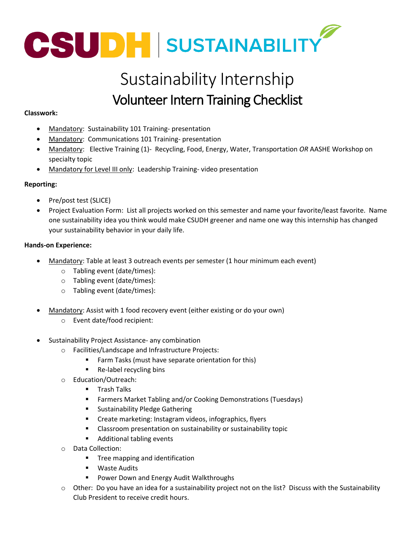

## Sustainability Internship Volunteer Intern Training Checklist

## **Classwork:**

- Mandatory: Sustainability 101 Training- presentation
- Mandatory: Communications 101 Training- presentation
- Mandatory: Elective Training (1)- Recycling, Food, Energy, Water, Transportation *OR* AASHE Workshop on specialty topic
- Mandatory for Level III only: Leadership Training- video presentation

### **Reporting:**

- Pre/post test (SLICE)
- Project Evaluation Form: List all projects worked on this semester and name your favorite/least favorite. Name one sustainability idea you think would make CSUDH greener and name one way this internship has changed your sustainability behavior in your daily life.

### **Hands-on Experience:**

- Mandatory: Table at least 3 outreach events per semester (1 hour minimum each event)
	- o Tabling event (date/times):
	- o Tabling event (date/times):
	- o Tabling event (date/times):
- Mandatory: Assist with 1 food recovery event (either existing or do your own)
	- o Event date/food recipient:
- Sustainability Project Assistance- any combination
	- o Facilities/Landscape and Infrastructure Projects:
		- **Farm Tasks (must have separate orientation for this)**
		- Re-label recycling bins
	- o Education/Outreach:
		- **Trash Talks**
		- **Farmers Market Tabling and/or Cooking Demonstrations (Tuesdays)**
		- **Sustainability Pledge Gathering**
		- **EXP** Create marketing: Instagram videos, infographics, flyers
		- **EXTE:** Classroom presentation on sustainability or sustainability topic
		- Additional tabling events
	- o Data Collection:
		- **Tree mapping and identification**
		- **Waste Audits**
		- **Power Down and Energy Audit Walkthroughs**
	- o Other: Do you have an idea for a sustainability project not on the list? Discuss with the Sustainability Club President to receive credit hours.